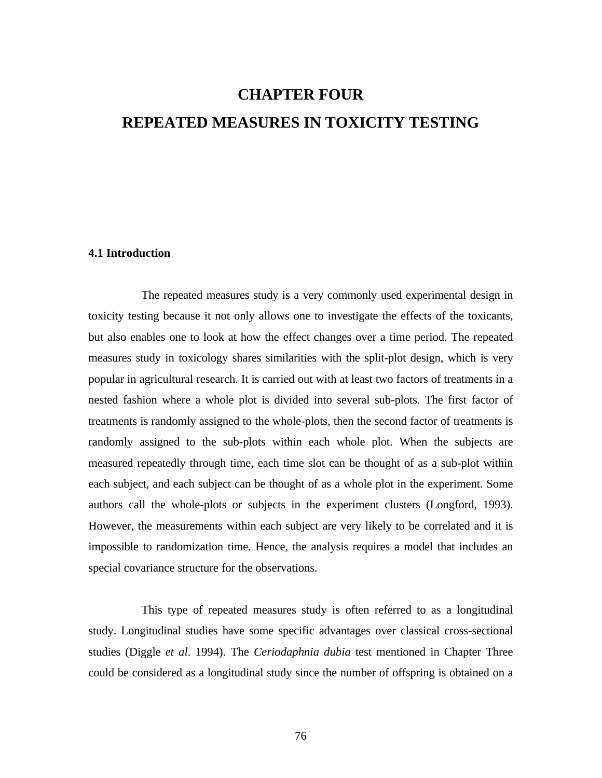# **CHAPTER FOUR REPEATED MEASURES IN TOXICITY TESTING**

### **4.1 Introduction**

The repeated measures study is a very commonly used experimental design in toxicity testing because it not only allows one to investigate the effects of the toxicants, but also enables one to look at how the effect changes over a time period. The repeated measures study in toxicology shares similarities with the split-plot design, which is very popular in agricultural research. It is carried out with at least two factors of treatments in a nested fashion where a whole plot is divided into several sub-plots. The first factor of treatments is randomly assigned to the whole-plots, then the second factor of treatments is randomly assigned to the sub-plots within each whole plot. When the subjects are measured repeatedly through time, each time slot can be thought of as a sub-plot within each subject, and each subject can be thought of as a whole plot in the experiment. Some authors call the whole-plots or subjects in the experiment clusters (Longford, 1993). However, the measurements within each subject are very likely to be correlated and it is impossible to randomization time. Hence, the analysis requires a model that includes an special covariance structure for the observations.

This type of repeated measures study is often referred to as a longitudinal study. Longitudinal studies have some specific advantages over classical cross-sectional studies (Diggle *et al*. 1994). The *Ceriodaphnia dubia* test mentioned in Chapter Three could be considered as a longitudinal study since the number of offspring is obtained on a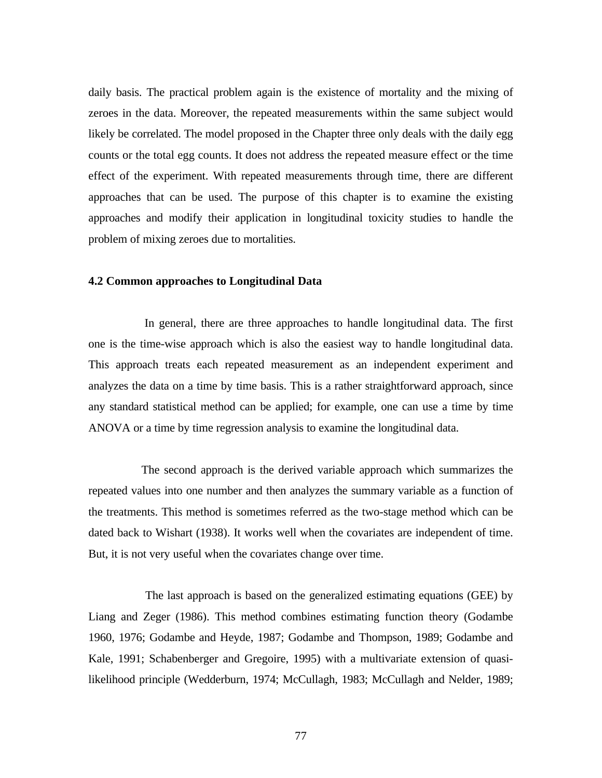daily basis. The practical problem again is the existence of mortality and the mixing of zeroes in the data. Moreover, the repeated measurements within the same subject would likely be correlated. The model proposed in the Chapter three only deals with the daily egg counts or the total egg counts. It does not address the repeated measure effect or the time effect of the experiment. With repeated measurements through time, there are different approaches that can be used. The purpose of this chapter is to examine the existing approaches and modify their application in longitudinal toxicity studies to handle the problem of mixing zeroes due to mortalities.

#### **4.2 Common approaches to Longitudinal Data**

 In general, there are three approaches to handle longitudinal data. The first one is the time-wise approach which is also the easiest way to handle longitudinal data. This approach treats each repeated measurement as an independent experiment and analyzes the data on a time by time basis. This is a rather straightforward approach, since any standard statistical method can be applied; for example, one can use a time by time ANOVA or a time by time regression analysis to examine the longitudinal data.

The second approach is the derived variable approach which summarizes the repeated values into one number and then analyzes the summary variable as a function of the treatments. This method is sometimes referred as the two-stage method which can be dated back to Wishart (1938). It works well when the covariates are independent of time. But, it is not very useful when the covariates change over time.

 The last approach is based on the generalized estimating equations (GEE) by Liang and Zeger (1986). This method combines estimating function theory (Godambe 1960, 1976; Godambe and Heyde, 1987; Godambe and Thompson, 1989; Godambe and Kale, 1991; Schabenberger and Gregoire, 1995) with a multivariate extension of quasilikelihood principle (Wedderburn, 1974; McCullagh, 1983; McCullagh and Nelder, 1989;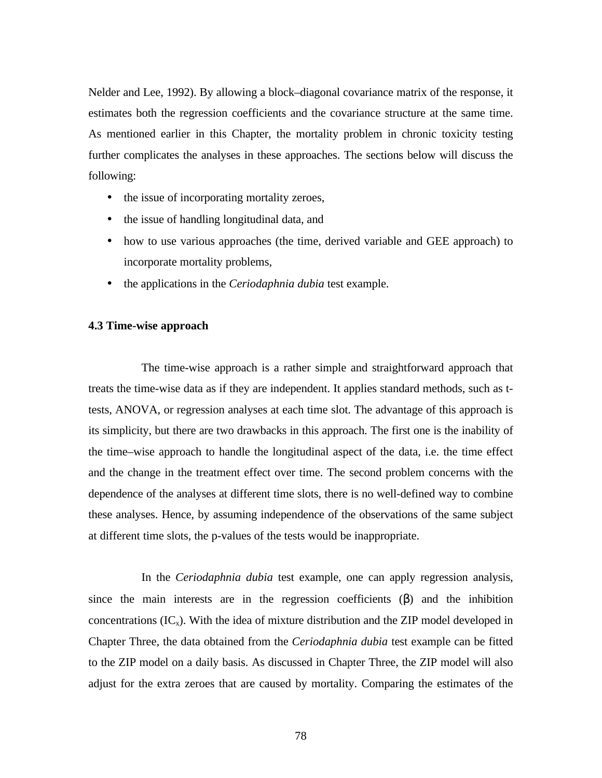Nelder and Lee, 1992). By allowing a block–diagonal covariance matrix of the response, it estimates both the regression coefficients and the covariance structure at the same time. As mentioned earlier in this Chapter, the mortality problem in chronic toxicity testing further complicates the analyses in these approaches. The sections below will discuss the following:

- the issue of incorporating mortality zeroes,
- the issue of handling longitudinal data, and
- how to use various approaches (the time, derived variable and GEE approach) to incorporate mortality problems,
- the applications in the *Ceriodaphnia dubia* test example.

### **4.3 Time-wise approach**

The time-wise approach is a rather simple and straightforward approach that treats the time-wise data as if they are independent. It applies standard methods, such as ttests, ANOVA, or regression analyses at each time slot. The advantage of this approach is its simplicity, but there are two drawbacks in this approach. The first one is the inability of the time–wise approach to handle the longitudinal aspect of the data, i.e. the time effect and the change in the treatment effect over time. The second problem concerns with the dependence of the analyses at different time slots, there is no well-defined way to combine these analyses. Hence, by assuming independence of the observations of the same subject at different time slots, the p-values of the tests would be inappropriate.

In the *Ceriodaphnia dubia* test example, one can apply regression analysis, since the main interests are in the regression coefficients  $(\beta)$  and the inhibition concentrations  $(IC_x)$ . With the idea of mixture distribution and the ZIP model developed in Chapter Three, the data obtained from the *Ceriodaphnia dubia* test example can be fitted to the ZIP model on a daily basis. As discussed in Chapter Three, the ZIP model will also adjust for the extra zeroes that are caused by mortality. Comparing the estimates of the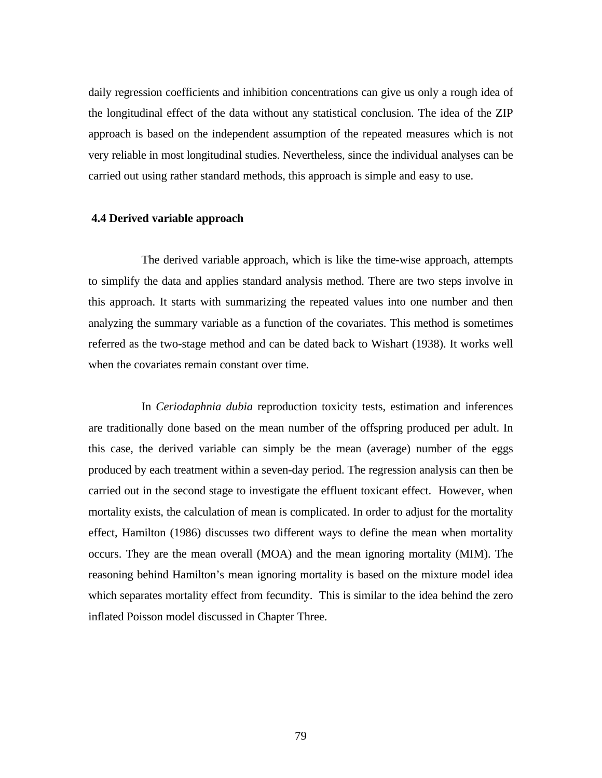daily regression coefficients and inhibition concentrations can give us only a rough idea of the longitudinal effect of the data without any statistical conclusion. The idea of the ZIP approach is based on the independent assumption of the repeated measures which is not very reliable in most longitudinal studies. Nevertheless, since the individual analyses can be carried out using rather standard methods, this approach is simple and easy to use.

#### **4.4 Derived variable approach**

The derived variable approach, which is like the time-wise approach, attempts to simplify the data and applies standard analysis method. There are two steps involve in this approach. It starts with summarizing the repeated values into one number and then analyzing the summary variable as a function of the covariates. This method is sometimes referred as the two-stage method and can be dated back to Wishart (1938). It works well when the covariates remain constant over time.

In *Ceriodaphnia dubia* reproduction toxicity tests, estimation and inferences are traditionally done based on the mean number of the offspring produced per adult. In this case, the derived variable can simply be the mean (average) number of the eggs produced by each treatment within a seven-day period. The regression analysis can then be carried out in the second stage to investigate the effluent toxicant effect. However, when mortality exists, the calculation of mean is complicated. In order to adjust for the mortality effect, Hamilton (1986) discusses two different ways to define the mean when mortality occurs. They are the mean overall (MOA) and the mean ignoring mortality (MIM). The reasoning behind Hamilton's mean ignoring mortality is based on the mixture model idea which separates mortality effect from fecundity. This is similar to the idea behind the zero inflated Poisson model discussed in Chapter Three.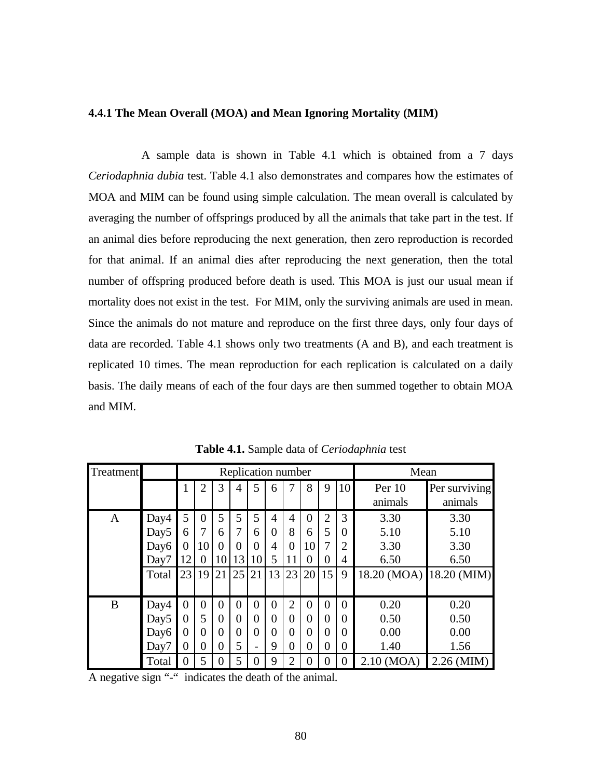## **4.4.1 The Mean Overall (MOA) and Mean Ignoring Mortality (MIM)**

A sample data is shown in Table 4.1 which is obtained from a 7 days *Ceriodaphnia dubia* test. Table 4.1 also demonstrates and compares how the estimates of MOA and MIM can be found using simple calculation. The mean overall is calculated by averaging the number of offsprings produced by all the animals that take part in the test. If an animal dies before reproducing the next generation, then zero reproduction is recorded for that animal. If an animal dies after reproducing the next generation, then the total number of offspring produced before death is used. This MOA is just our usual mean if mortality does not exist in the test. For MIM, only the surviving animals are used in mean. Since the animals do not mature and reproduce on the first three days, only four days of data are recorded. Table 4.1 shows only two treatments (A and B), and each treatment is replicated 10 times. The mean reproduction for each replication is calculated on a daily basis. The daily means of each of the four days are then summed together to obtain MOA and MIM.

| Treatment    |                  | Replication number |                |                  |          |    |                |                |          | Mean           |          |                         |               |
|--------------|------------------|--------------------|----------------|------------------|----------|----|----------------|----------------|----------|----------------|----------|-------------------------|---------------|
|              |                  | 1                  | $\overline{2}$ | 3                | 4        | 5  | 6              |                | 8        | 9              | 10       | Per $10$                | Per surviving |
|              |                  |                    |                |                  |          |    |                |                |          |                |          | animals                 | animals       |
| $\mathbf{A}$ | Day4             | 5                  | $\theta$       | 5                | 5        | 5  | $\overline{4}$ | 4              | $\Omega$ | $\overline{2}$ | 3        | 3.30                    | 3.30          |
|              | Day <sub>5</sub> | 6                  | 7              | 6                | 7        | 6  | $\theta$       | 8              | 6        | 5              | $\Omega$ | 5.10                    | 5.10          |
|              | Day6             | 0                  | 10             | $\theta$         | $\Omega$ | 0  | 4              | 0              | 10       | 7              | 2        | 3.30                    | 3.30          |
|              | Day7             | 12                 | 0              | 10               | 13       | 10 | 5              | 11             | $\Omega$ | $\theta$       | 4        | 6.50                    | 6.50          |
|              | Total            | 23                 | 19             | 21               | 25       | 21 | 13             | 23             | 20       | 15             | 9        | 18.20 (MOA) 18.20 (MIM) |               |
|              |                  |                    |                |                  |          |    |                |                |          |                |          |                         |               |
| B            | Day4             | $\overline{0}$     | $\Omega$       | $\overline{0}$   | $\Omega$ | 0  | $\theta$       | $\overline{2}$ | $\Omega$ | $\Omega$       | 0        | 0.20                    | 0.20          |
|              | Day <sub>5</sub> | 0                  | 5              | $\overline{0}$   | $\theta$ | 0  | $\overline{0}$ | 0              | $\Omega$ | 0              | 0        | 0.50                    | 0.50          |
|              | Day <sub>6</sub> | 0                  | 0              | $\overline{0}$   | $\theta$ | 0  | $\overline{0}$ | $\theta$       | $\Omega$ | 0              | 0        | 0.00                    | 0.00          |
|              | Day7             | $\boldsymbol{0}$   | $\overline{0}$ | $\overline{0}$   | 5        |    | 9              | $\overline{0}$ | 0        | $\overline{0}$ | 0        | 1.40                    | 1.56          |
|              | Total            | 0                  | 5              | $\boldsymbol{0}$ | 5        | 0  | 9              | $\overline{2}$ | $\theta$ | 0              | $\theta$ | $2.10 \ (MOA)$          | $2.26$ (MIM)  |

**Table 4.1.** Sample data of *Ceriodaphnia* test

A negative sign "-" indicates the death of the animal.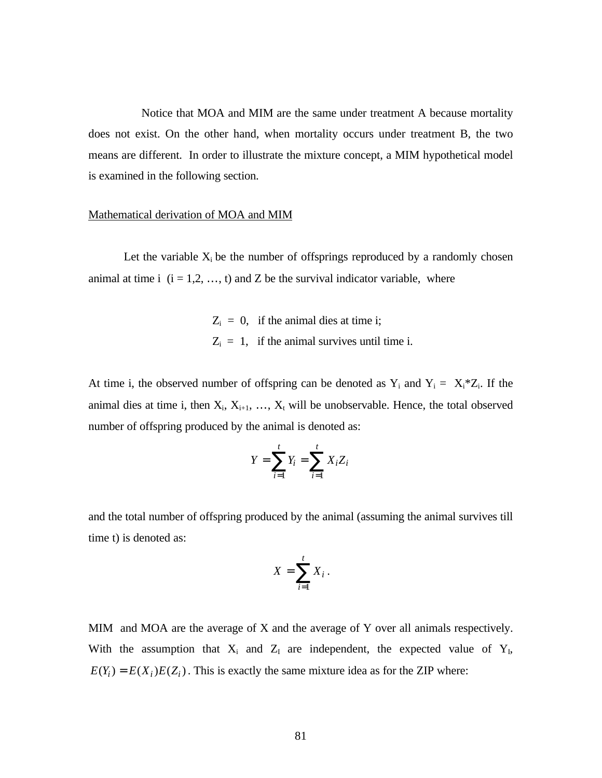Notice that MOA and MIM are the same under treatment A because mortality does not exist. On the other hand, when mortality occurs under treatment B, the two means are different. In order to illustrate the mixture concept, a MIM hypothetical model is examined in the following section.

#### Mathematical derivation of MOA and MIM

Let the variable  $X_i$  be the number of offsprings reproduced by a randomly chosen animal at time i  $(i = 1, 2, ..., t)$  and Z be the survival indicator variable, where

> $Z_i = 0$ , if the animal dies at time i;  $Z_i = 1$ , if the animal survives until time i.

At time i, the observed number of offspring can be denoted as  $Y_i$  and  $Y_i = X_i * Z_i$ . If the animal dies at time i, then  $X_i, X_{i+1}, ..., X_t$  will be unobservable. Hence, the total observed number of offspring produced by the animal is denoted as:

$$
Y = \sum_{i=1}^{t} Y_i = \sum_{i=1}^{t} X_i Z_i
$$

and the total number of offspring produced by the animal (assuming the animal survives till time t) is denoted as:

$$
X=\sum_{i=1}^t X_i.
$$

MIM and MOA are the average of X and the average of Y over all animals respectively. With the assumption that  $X_i$  and  $Z_i$  are independent, the expected value of  $Y_i$ ,  $E(Y_i) = E(X_i)E(Z_i)$ . This is exactly the same mixture idea as for the ZIP where: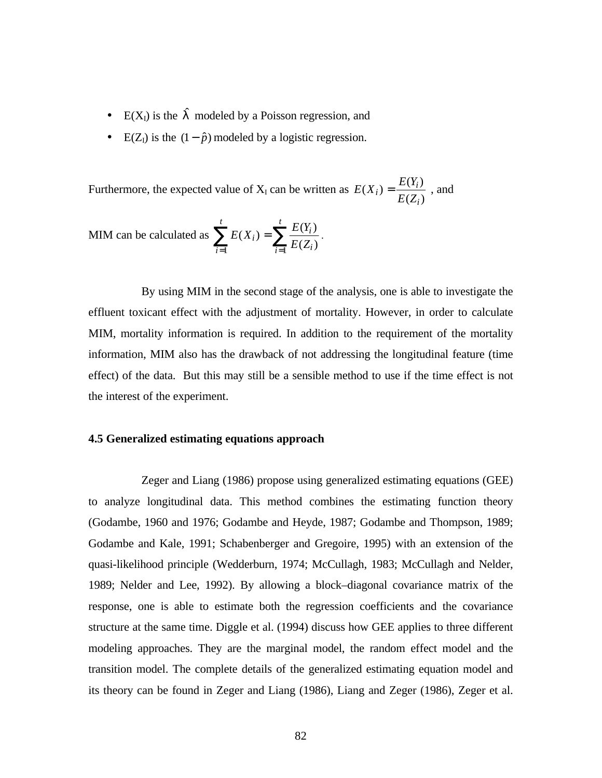- $E(X_l)$  is the  $\int$ <sup>o</sup> modeled by a Poisson regression, and
- E( $Z_1$ ) is the  $(1 \hat{p})$  modeled by a logistic regression.

Furthermore, the expected value of  $X_I$  can be written as  $(Z_i)$  $(X_i) = \frac{E(Y_i)}{E(Y_i)}$ *i*  $i) = \frac{E(Y_i)}{E(Z_i)}$  $E(X_i) = \frac{E(Y_i)}{E(Y_i)}$ , and

$$
\text{MIM can be calculated as } \sum_{i=1}^{t} E(X_i) = \sum_{i=1}^{t} \frac{E(Y_i)}{E(Z_i)}.
$$

By using MIM in the second stage of the analysis, one is able to investigate the effluent toxicant effect with the adjustment of mortality. However, in order to calculate MIM, mortality information is required. In addition to the requirement of the mortality information, MIM also has the drawback of not addressing the longitudinal feature (time effect) of the data. But this may still be a sensible method to use if the time effect is not the interest of the experiment.

### **4.5 Generalized estimating equations approach**

Zeger and Liang (1986) propose using generalized estimating equations (GEE) to analyze longitudinal data. This method combines the estimating function theory (Godambe, 1960 and 1976; Godambe and Heyde, 1987; Godambe and Thompson, 1989; Godambe and Kale, 1991; Schabenberger and Gregoire, 1995) with an extension of the quasi-likelihood principle (Wedderburn, 1974; McCullagh, 1983; McCullagh and Nelder, 1989; Nelder and Lee, 1992). By allowing a block–diagonal covariance matrix of the response, one is able to estimate both the regression coefficients and the covariance structure at the same time. Diggle et al. (1994) discuss how GEE applies to three different modeling approaches. They are the marginal model, the random effect model and the transition model. The complete details of the generalized estimating equation model and its theory can be found in Zeger and Liang (1986), Liang and Zeger (1986), Zeger et al.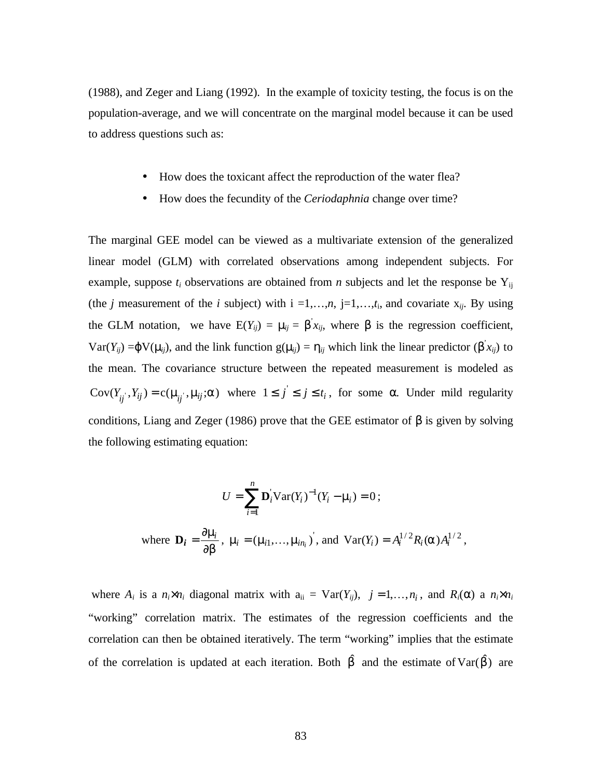(1988), and Zeger and Liang (1992). In the example of toxicity testing, the focus is on the population-average, and we will concentrate on the marginal model because it can be used to address questions such as:

- How does the toxicant affect the reproduction of the water flea?
- How does the fecundity of the *Ceriodaphnia* change over time?

The marginal GEE model can be viewed as a multivariate extension of the generalized linear model (GLM) with correlated observations among independent subjects. For example, suppose  $t_i$  observations are obtained from *n* subjects and let the response be  $Y_{ij}$ (the *j* measurement of the *i* subject) with  $i = 1,...,n$ ,  $j = 1,...,t_i$ , and covariate  $x_{ij}$ . By using the GLM notation, we have  $E(Y_{ij}) = \eta_{ij} = \beta x_{ij}$ , where  $\beta$  is the regression coefficient, Var(*Y<sub>ij</sub>*) = $\varphi$ V( $\eta$ <sub>*ij*</sub>), and the link function g( $\eta$ <sub>*ij*</sub>) =  $h$ <sub>*ij*</sub> which link the linear predictor (β<sup>'</sup>*x<sub>ij</sub>*) to the mean. The covariance structure between the repeated measurement is modeled as  $Cov(Y_{ij}, Y_{ij}) = c(\bigcap_i \eta_i; \bigcap_i \{i\})$  where  $1 \leq j' \leq j \leq t_i$ , for some *a*. Under mild regularity conditions, Liang and Zeger (1986) prove that the GEE estimator of  $\beta$  is given by solving the following estimating equation:

$$
U = \sum_{i=1}^{n} \mathbf{D}_i^{\dagger} \mathbf{Var}(Y_i)^{-1} (Y_i - \mathbf{n}_i) = 0 ;
$$
  
where  $\mathbf{D}_i = \frac{\partial \mathbf{n}_i}{\partial \mathbf{D}}$ ,  $\mathbf{n}_i = (\mathbf{n}_i, ..., \mathbf{n}_{i}^{\dagger})^{\dagger}$ , and  $\mathbf{Var}(Y_i) = A_i^{1/2} R_i(\mathbf{a}) A_i^{1/2}$ ,

where  $A_i$  is a  $n_i \times n_i$  diagonal matrix with  $a_{ii} = \text{Var}(Y_{ij})$ ,  $j = 1, \ldots, n_i$ , and  $R_i(\alpha)$  a  $n_i \times n_i$ "working" correlation matrix. The estimates of the regression coefficients and the correlation can then be obtained iteratively. The term "working" implies that the estimate of the correlation is updated at each iteration. Both  $\hat{b}$  and the estimate of  $Var(\hat{b})$  are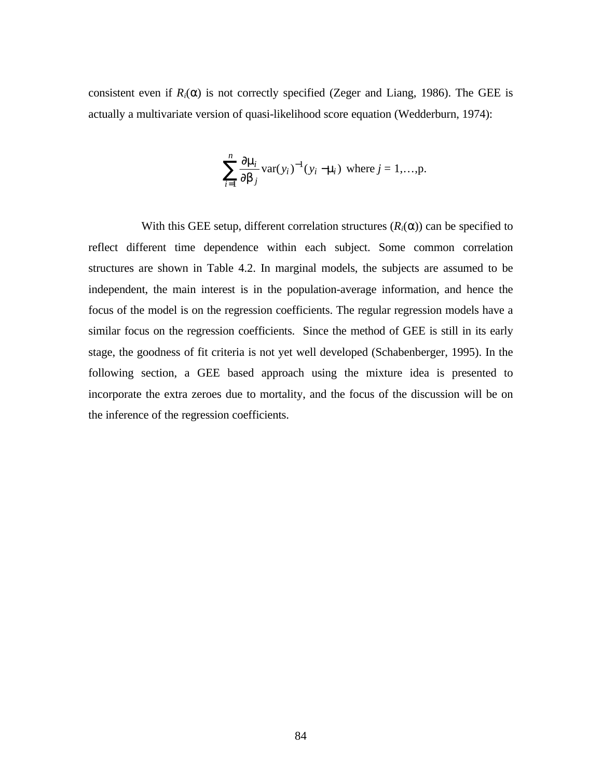consistent even if  $R_i(\alpha)$  is not correctly specified (Zeger and Liang, 1986). The GEE is actually a multivariate version of quasi-likelihood score equation (Wedderburn, 1974):

$$
\sum_{i=1}^{n} \frac{\partial \eta_i}{\partial b_j} \text{var}(y_i)^{-1} (y_i - \eta_i) \text{ where } j = 1,...,p.
$$

With this GEE setup, different correlation structures  $(R<sub>i</sub>(\alpha))$  can be specified to reflect different time dependence within each subject. Some common correlation structures are shown in Table 4.2. In marginal models, the subjects are assumed to be independent, the main interest is in the population-average information, and hence the focus of the model is on the regression coefficients. The regular regression models have a similar focus on the regression coefficients. Since the method of GEE is still in its early stage, the goodness of fit criteria is not yet well developed (Schabenberger, 1995). In the following section, a GEE based approach using the mixture idea is presented to incorporate the extra zeroes due to mortality, and the focus of the discussion will be on the inference of the regression coefficients.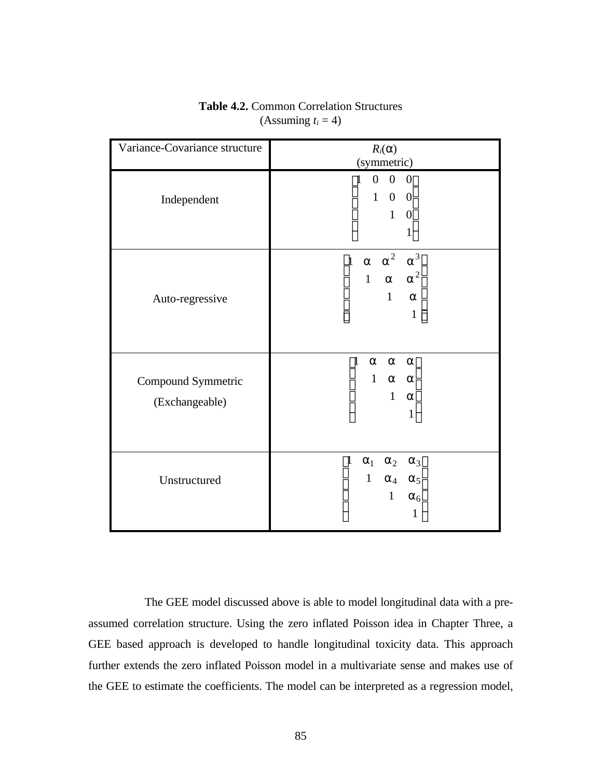| Variance-Covariance structure        | $R_i(\alpha)$<br>(symmetric)                                                                                                                          |
|--------------------------------------|-------------------------------------------------------------------------------------------------------------------------------------------------------|
| Independent                          | $0 \quad 0$<br>$\mathbf{1}$<br> 0 <br>$\boldsymbol{0}$<br>$\mathbf{1}$<br>$\overline{\mathbf{0}}$<br>$\mathbf{1}$<br>$\boldsymbol{0}$<br>$\mathbf{1}$ |
| Auto-regressive                      | a <sup>2</sup><br>$a^3$<br>a<br>$\mathbf{1}$<br>a $a^2$<br>$\mathbf{1}$<br>$\mathbf{1}$<br>a<br>$\,1\,$                                               |
| Compound Symmetric<br>(Exchangeable) | $\overline{1}$<br>a<br>$\mathsf{a}$<br>a<br>$\mathbf{1}$<br>a a<br>$\mathbf{1}$<br>$\mathsf a$<br>$\mathbf{1}$                                        |
| Unstructured                         | $\overline{1}$<br>a <sub>1</sub><br>$a_2$<br>$a_3$<br>$\,1$<br>$a_4$ $a_5$<br>$\mathbf{1}$<br>$a_6$<br>1                                              |

**Table 4.2.** Common Correlation Structures (Assuming  $t_i = 4$ )

 The GEE model discussed above is able to model longitudinal data with a preassumed correlation structure. Using the zero inflated Poisson idea in Chapter Three, a GEE based approach is developed to handle longitudinal toxicity data. This approach further extends the zero inflated Poisson model in a multivariate sense and makes use of the GEE to estimate the coefficients. The model can be interpreted as a regression model,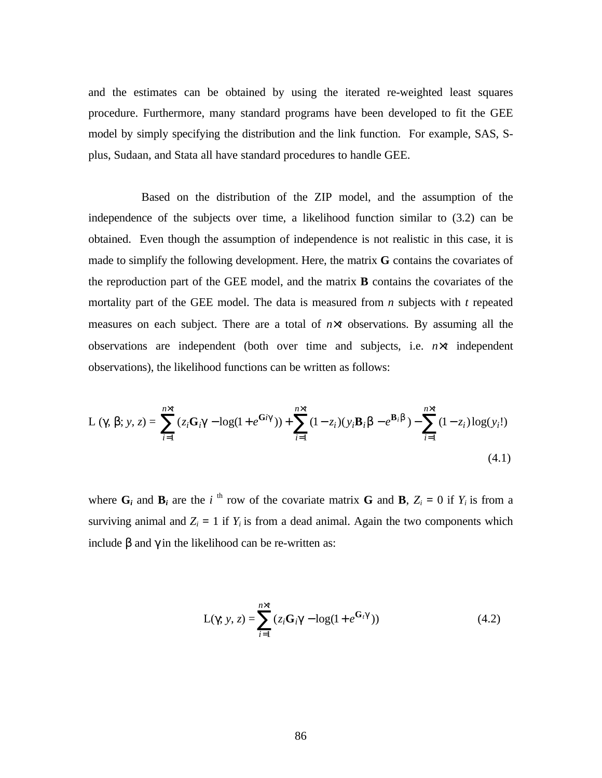and the estimates can be obtained by using the iterated re-weighted least squares procedure. Furthermore, many standard programs have been developed to fit the GEE model by simply specifying the distribution and the link function. For example, SAS, Splus, Sudaan, and Stata all have standard procedures to handle GEE.

Based on the distribution of the ZIP model, and the assumption of the independence of the subjects over time, a likelihood function similar to (3.2) can be obtained. Even though the assumption of independence is not realistic in this case, it is made to simplify the following development. Here, the matrix **G** contains the covariates of the reproduction part of the GEE model, and the matrix **B** contains the covariates of the mortality part of the GEE model. The data is measured from *n* subjects with *t* repeated measures on each subject. There are a total of  $n \times t$  observations. By assuming all the observations are independent (both over time and subjects, i.e. *n*×*t* independent observations), the likelihood functions can be written as follows:

$$
L (g b; y, z) = \sum_{i=1}^{n \times t} (z_i G_i g - \log(1 + e^{G i g})) + \sum_{i=1}^{n \times t} (1 - z_i)(y_i B_i b - e^{B_i b}) - \sum_{i=1}^{n \times t} (1 - z_i) \log(y_i!) \tag{4.1}
$$

where  $G_i$  and  $B_i$  are the *i*<sup>th</sup> row of the covariate matrix G and B,  $Z_i = 0$  if  $Y_i$  is from a surviving animal and  $Z_i = 1$  if  $Y_i$  is from a dead animal. Again the two components which include  $β$  and  $γ$  in the likelihood can be re-written as:

$$
L(g y, z) = \sum_{i=1}^{n \times t} (z_i G_i g - \log(1 + e^{G_i g}))
$$
(4.2)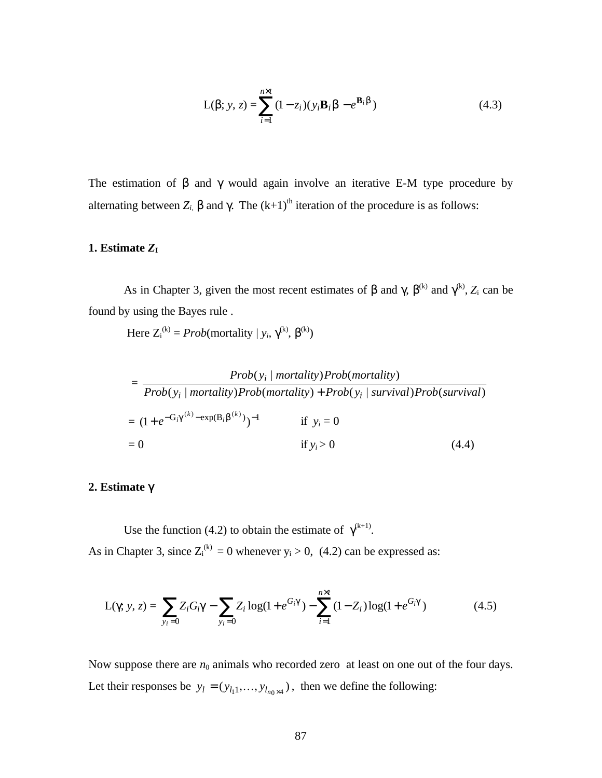$$
L(\mathsf{b}; y, z) = \sum_{i=1}^{n \times t} (1 - z_i)(y_i \mathbf{B}_i \mathsf{b} - e^{\mathbf{B}_i \mathsf{b}})
$$
(4.3)

The estimation of *b* and *g* would again involve an iterative E-M type procedure by alternating between  $Z_i$ , b and  $g$ . The  $(k+1)^{th}$  iteration of the procedure is as follows:

### 1. Estimate  $Z_I$

As in Chapter 3, given the most recent estimates of *b* and *g*  $b^{(k)}$  and  $g^{(k)}$ , *Z*<sub>i</sub> can be found by using the Bayes rule .

Here  $Z_i^{(k)} = Prob(mortality \mid y_i, g^{(k)}, b^{(k)})$ 

$$
= \frac{Prob(y_i \mid mortality) Prob(mortality)}{Prob(y_i \mid mortality) Prob(mortality) + Prob(y_i \mid survival) Prob(survival)}
$$
  
=  $(1 + e^{-G_i g^{(k)} - exp(B_i b^{(k)}))^{-1}}$  if  $y_i = 0$   
= 0 if  $y_i > 0$  (4.4)

## **2. Estimate** γ

Use the function (4.2) to obtain the estimate of  $g^{(k+1)}$ . As in Chapter 3, since  $Z_i^{(k)} = 0$  whenever  $y_i > 0$ , (4.2) can be expressed as:

$$
L(g y, z) = \sum_{y_i=0} Z_i G_i g - \sum_{y_i=0} Z_i \log(1 + e^{G_i g}) - \sum_{i=1}^{n \times t} (1 - Z_i) \log(1 + e^{G_i g})
$$
(4.5)

Now suppose there are  $n_0$  animals who recorded zero at least on one out of the four days. Let their responses be  $y_l = (y_{l_1},..., y_{l_{n_0} \times 4})$ , then we define the following: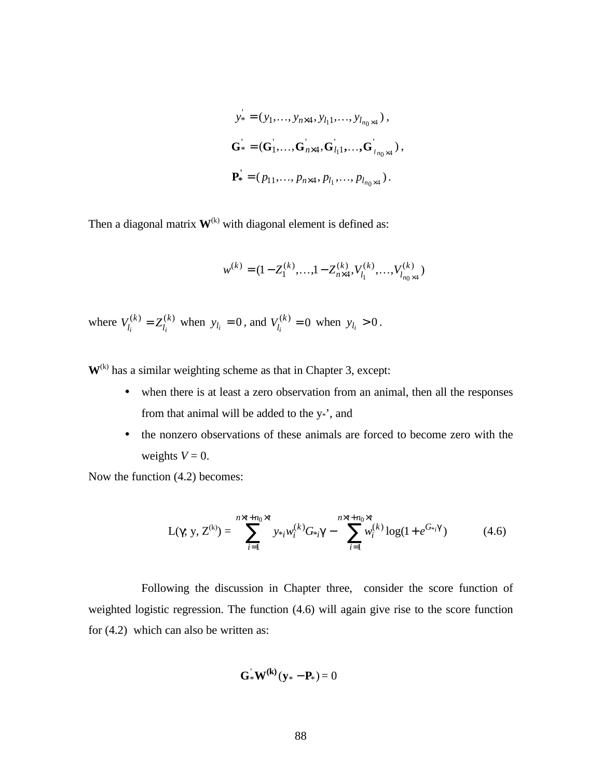$$
y_* = (y_1, ..., y_{n \times 4}, y_{l_1}, ..., y_{l_{n_0 \times 4}}),
$$
  
\n
$$
\mathbf{G}^* = (\mathbf{G}_1^*, ..., \mathbf{G}_{n \times 4}, \mathbf{G}_{l_1}^*, ..., \mathbf{G}_{l_{n_0 \times 4}}^*)
$$
,  
\n
$$
\mathbf{P}^* = (p_{11}, ..., p_{n \times 4}, p_{l_1}, ..., p_{l_{n_0 \times 4}}).
$$

Then a diagonal matrix  $W^{(k)}$  with diagonal element is defined as:

$$
w^{(k)}=(1-Z^{(k)}_1,\ldots,1-Z^{(k)}_{n\times 4},V^{(k)}_{l_1},\ldots,V^{(k)}_{l_{n_0\times 4}})
$$

where  $V_{l_i}^{(k)} = Z_{l_i}^{(k)}$ *k*  $V_{l_i}^{(k)} = Z_{l_i}^{(k)}$  when  $y_{l_i} = 0$ , and  $V_{l_i}^{(k)} = 0$  $V_{l_i}^{(k)} = 0$  when  $y_{l_i} > 0$ .

 $W^{(k)}$  has a similar weighting scheme as that in Chapter 3, except:

- when there is at least a zero observation from an animal, then all the responses from that animal will be added to the y\*', and
- the nonzero observations of these animals are forced to become zero with the weights  $V = 0$ .

Now the function (4.2) becomes:

$$
L(\gamma; y, Z^{(k)}) = \sum_{i=1}^{n \times t + n_0 \times t} y_{*i} w_i^{(k)} G_{*i} g - \sum_{i=1}^{n \times t + n_0 \times t} w_i^{(k)} \log(1 + e^{G_{*i}} g)
$$
(4.6)

Following the discussion in Chapter three, consider the score function of weighted logistic regression. The function (4.6) will again give rise to the score function for (4.2) which can also be written as:

$$
\mathbf{G}^{\mathbf{v}}_{*}\mathbf{W}^{(k)}(\mathbf{y}_{*}-\mathbf{P}_{*})=0
$$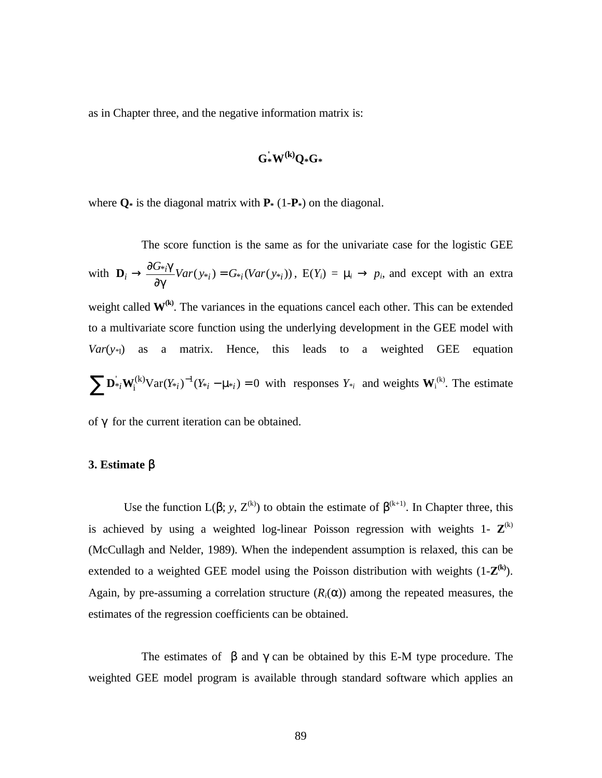as in Chapter three, and the negative information matrix is:

$$
G_\ast^{\textstyle{\cdot}}W^{(k)}Q_\ast G_\ast
$$

where  $Q^*$  is the diagonal matrix with  $P^*$  (1- $P^*$ ) on the diagonal.

The score function is the same as for the univariate case for the logistic GEE with  $\mathbf{D}_i \rightarrow \frac{\partial G_{*i} \mathbf{Q}}{\partial \mathbf{Q}} Var(y_{*i}) = G_{*i}(Var(y_{*i}))$ ∂  $\rightarrow \frac{\partial}{\partial x}$ *g*  $\mathbf{D}_i \rightarrow \frac{\partial G_{*i} \mathbf{Q}}{\partial x_i} Var(y_{*i}) = G_{*i}(Var(y_{*i}))$ ,  $E(Y_i) = \mathbf{D}_i \rightarrow p_i$ , and except with an extra weight called  $W^{(k)}$ . The variances in the equations cancel each other. This can be extended to a multivariate score function using the underlying development in the GEE model with  $Var(y_{*1})$  as a matrix. Hence, this leads to a weighted GEE equation  $({}^{(k)}\text{Var}(Y_{*_i})^{-1}(Y_{*_i}-\text{max}_i)=0$ i  $\sum \mathbf{D}_{*i}^{'} \mathbf{W}_{i}^{(k)} \text{Var}(Y_{*i})^{-1} (Y_{*i} - \mathbf{D}_{*i}) = 0$  with responses  $Y_{*i}$  and weights  $\mathbf{W}_{i}^{(k)}$ . The estimate

of γ for the current iteration can be obtained.

#### **3. Estimate** β

Use the function  $L(\alpha, y, Z^{(k)})$  to obtain the estimate of  $\beta^{(k+1)}$ . In Chapter three, this is achieved by using a weighted log-linear Poisson regression with weights  $1 - Z^{(k)}$ (McCullagh and Nelder, 1989). When the independent assumption is relaxed, this can be extended to a weighted GEE model using the Poisson distribution with weights  $(1-Z^{(k)})$ . Again, by pre-assuming a correlation structure  $(R<sub>i</sub>(\alpha))$  among the repeated measures, the estimates of the regression coefficients can be obtained.

The estimates of  $\beta$  and  $\gamma$  can be obtained by this E-M type procedure. The weighted GEE model program is available through standard software which applies an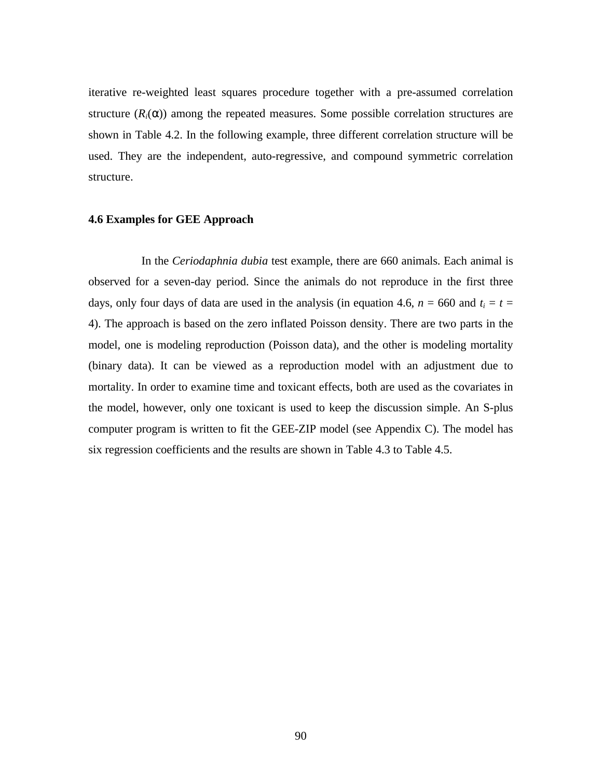iterative re-weighted least squares procedure together with a pre-assumed correlation structure  $(R<sub>i</sub>(\alpha))$  among the repeated measures. Some possible correlation structures are shown in Table 4.2. In the following example, three different correlation structure will be used. They are the independent, auto-regressive, and compound symmetric correlation structure.

#### **4.6 Examples for GEE Approach**

In the *Ceriodaphnia dubia* test example, there are 660 animals. Each animal is observed for a seven-day period. Since the animals do not reproduce in the first three days, only four days of data are used in the analysis (in equation 4.6,  $n = 660$  and  $t_i = t$ 4). The approach is based on the zero inflated Poisson density. There are two parts in the model, one is modeling reproduction (Poisson data), and the other is modeling mortality (binary data). It can be viewed as a reproduction model with an adjustment due to mortality. In order to examine time and toxicant effects, both are used as the covariates in the model, however, only one toxicant is used to keep the discussion simple. An S-plus computer program is written to fit the GEE-ZIP model (see Appendix C). The model has six regression coefficients and the results are shown in Table 4.3 to Table 4.5.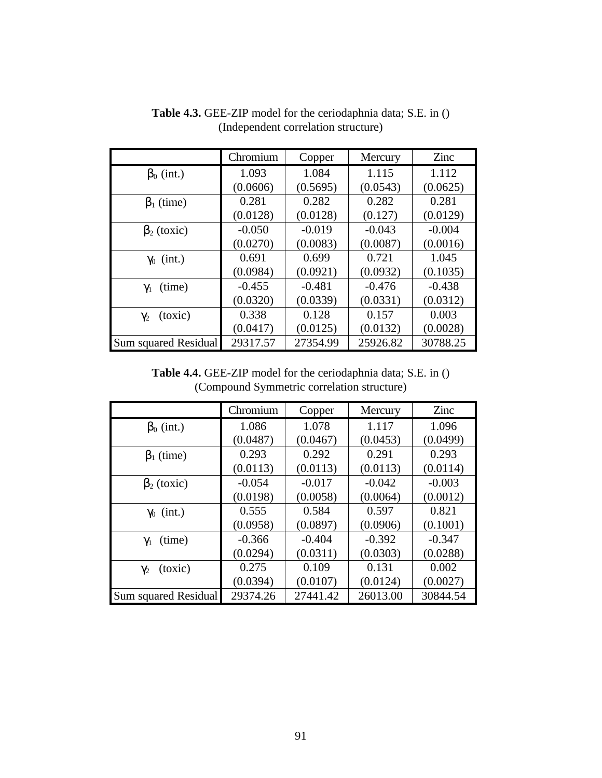|                       | Chromium | Copper   | Mercury  | Zinc     |
|-----------------------|----------|----------|----------|----------|
| $\beta_0$ (int.)      | 1.093    | 1.084    | 1.115    | 1.112    |
|                       | (0.0606) | (0.5695) | (0.0543) | (0.0625) |
| $\beta_1$ (time)      | 0.281    | 0.282    | 0.282    | 0.281    |
|                       | (0.0128) | (0.0128) | (0.127)  | (0.0129) |
| $\beta_2$ (toxic)     | $-0.050$ | $-0.019$ | $-0.043$ | $-0.004$ |
|                       | (0.0270) | (0.0083) | (0.0087) | (0.0016) |
| $\gamma_0$ (int.)     | 0.691    | 0.699    | 0.721    | 1.045    |
|                       | (0.0984) | (0.0921) | (0.0932) | (0.1035) |
| $\gamma_1$ (time)     | $-0.455$ | $-0.481$ | $-0.476$ | $-0.438$ |
|                       | (0.0320) | (0.0339) | (0.0331) | (0.0312) |
| (toxic)<br>$\gamma_2$ | 0.338    | 0.128    | 0.157    | 0.003    |
|                       | (0.0417) | (0.0125) | (0.0132) | (0.0028) |
| Sum squared Residual  | 29317.57 | 27354.99 | 25926.82 | 30788.25 |

**Table 4.3.** GEE-ZIP model for the ceriodaphnia data; S.E. in () (Independent correlation structure)

**Table 4.4.** GEE-ZIP model for the ceriodaphnia data; S.E. in () (Compound Symmetric correlation structure)

|                       | Chromium | Copper   | Mercury  | Zinc     |
|-----------------------|----------|----------|----------|----------|
| $\beta_0$ (int.)      | 1.086    | 1.078    | 1.117    | 1.096    |
|                       | (0.0487) | (0.0467) | (0.0453) | (0.0499) |
| $\beta_1$ (time)      | 0.293    | 0.292    | 0.291    | 0.293    |
|                       | (0.0113) | (0.0113) | (0.0113) | (0.0114) |
| $\beta_2$ (toxic)     | $-0.054$ | $-0.017$ | $-0.042$ | $-0.003$ |
|                       | (0.0198) | (0.0058) | (0.0064) | (0.0012) |
| $\gamma_0$ (int.)     | 0.555    | 0.584    | 0.597    | 0.821    |
|                       | (0.0958) | (0.0897) | (0.0906) | (0.1001) |
| (time)<br>$\gamma_1$  | $-0.366$ | $-0.404$ | $-0.392$ | $-0.347$ |
|                       | (0.0294) | (0.0311) | (0.0303) | (0.0288) |
| (toxic)<br>$\gamma_2$ | 0.275    | 0.109    | 0.131    | 0.002    |
|                       | (0.0394) | (0.0107) | (0.0124) | (0.0027) |
| Sum squared Residual  | 29374.26 | 27441.42 | 26013.00 | 30844.54 |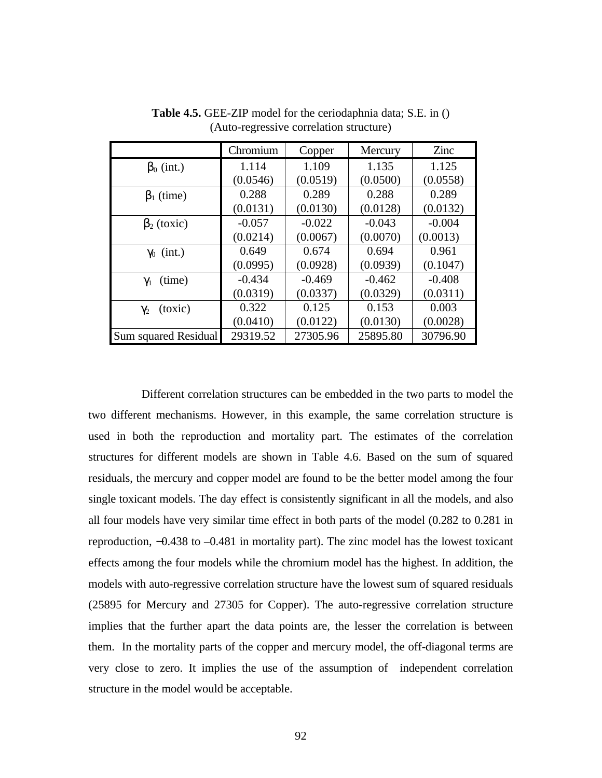|                             | Chromium | Copper   | Mercury  | Zinc     |
|-----------------------------|----------|----------|----------|----------|
| $\beta_0$ (int.)            | 1.114    | 1.109    | 1.135    | 1.125    |
|                             | (0.0546) | (0.0519) | (0.0500) | (0.0558) |
| $\beta_1$ (time)            | 0.288    | 0.289    | 0.288    | 0.289    |
|                             | (0.0131) | (0.0130) | (0.0128) | (0.0132) |
| $\beta_2$ (toxic)           | $-0.057$ | $-0.022$ | $-0.043$ | $-0.004$ |
|                             | (0.0214) | (0.0067) | (0.0070) | (0.0013) |
| $\gamma_0$ (int.)           | 0.649    | 0.674    | 0.694    | 0.961    |
|                             | (0.0995) | (0.0928) | (0.0939) | (0.1047) |
| (time)<br>$\gamma_1$        | $-0.434$ | $-0.469$ | $-0.462$ | $-0.408$ |
|                             | (0.0319) | (0.0337) | (0.0329) | (0.0311) |
| (toxic)<br>$\gamma_2$       | 0.322    | 0.125    | 0.153    | 0.003    |
|                             | (0.0410) | (0.0122) | (0.0130) | (0.0028) |
| <b>Sum squared Residual</b> | 29319.52 | 27305.96 | 25895.80 | 30796.90 |

**Table 4.5.** GEE-ZIP model for the ceriodaphnia data; S.E. in () (Auto-regressive correlation structure)

Different correlation structures can be embedded in the two parts to model the two different mechanisms. However, in this example, the same correlation structure is used in both the reproduction and mortality part. The estimates of the correlation structures for different models are shown in Table 4.6. Based on the sum of squared residuals, the mercury and copper model are found to be the better model among the four single toxicant models. The day effect is consistently significant in all the models, and also all four models have very similar time effect in both parts of the model (0.282 to 0.281 in reproduction, −0.438 to –0.481 in mortality part). The zinc model has the lowest toxicant effects among the four models while the chromium model has the highest. In addition, the models with auto-regressive correlation structure have the lowest sum of squared residuals (25895 for Mercury and 27305 for Copper). The auto-regressive correlation structure implies that the further apart the data points are, the lesser the correlation is between them. In the mortality parts of the copper and mercury model, the off-diagonal terms are very close to zero. It implies the use of the assumption of independent correlation structure in the model would be acceptable.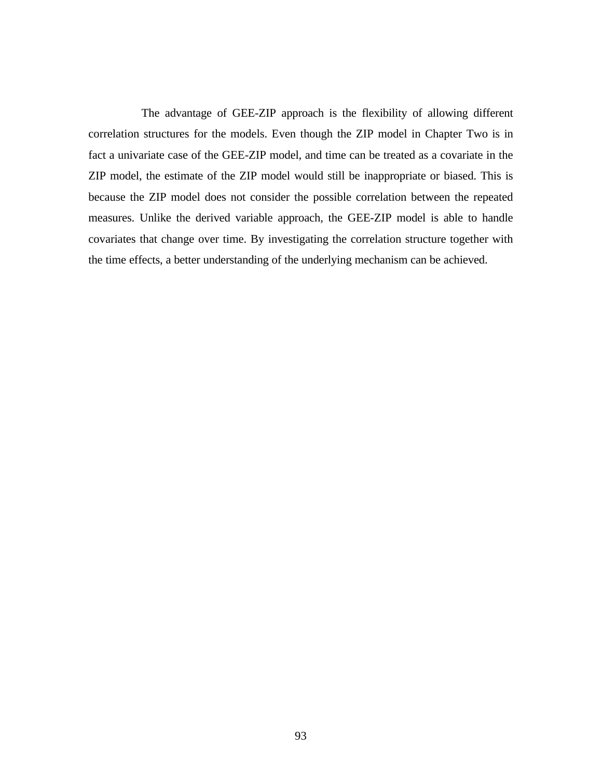The advantage of GEE-ZIP approach is the flexibility of allowing different correlation structures for the models. Even though the ZIP model in Chapter Two is in fact a univariate case of the GEE-ZIP model, and time can be treated as a covariate in the ZIP model, the estimate of the ZIP model would still be inappropriate or biased. This is because the ZIP model does not consider the possible correlation between the repeated measures. Unlike the derived variable approach, the GEE-ZIP model is able to handle covariates that change over time. By investigating the correlation structure together with the time effects, a better understanding of the underlying mechanism can be achieved.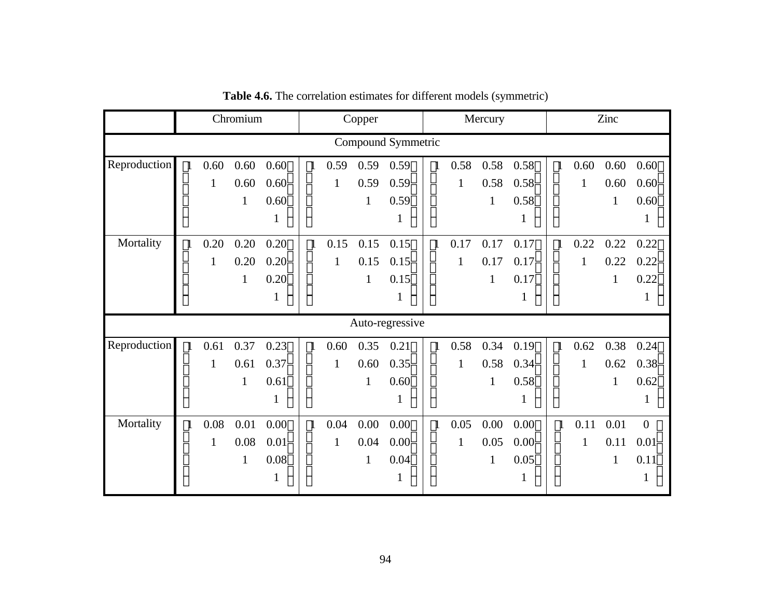|                    |              |              | Chromium     |              | Copper<br>Mercury |              |              | Zinc            |              |              |              |             |              |              |              |                |
|--------------------|--------------|--------------|--------------|--------------|-------------------|--------------|--------------|-----------------|--------------|--------------|--------------|-------------|--------------|--------------|--------------|----------------|
| Compound Symmetric |              |              |              |              |                   |              |              |                 |              |              |              |             |              |              |              |                |
| Reproduction       | $\mathbf{1}$ | 0.60         | 0.60         | 0.60         | $\mathbf{1}$      | 0.59         | 0.59         | 0.59            |              | 0.58         | 0.58         | 0.58        | $\mathbf{1}$ | 0.60         | 0.60         | 0.60           |
|                    |              | 1            | 0.60         | 0.60         |                   | $\mathbf{1}$ | 0.59         | 0.59            |              | $\mathbf{1}$ | 0.58         | 0.58        |              | $\mathbf{1}$ | 0.60         | 0.60           |
|                    |              |              | 1            | 0.60         |                   |              | 1            | 0.59            |              |              | $\mathbf{1}$ | 0.58        |              |              | 1            | 0.60           |
|                    |              |              |              |              |                   |              |              | $\bf{l}$        |              |              |              | 1           |              |              |              | 1              |
| Mortality          | $\mathbf{1}$ | 0.20         | 0.20         | $0.20$ ]     | $\mathbf{1}$      | 0.15         | 0.15         | 0.15            | $\mathbf{1}$ | 0.17         | 0.17         | 0.17        | $\mathbf{1}$ | 0.22         | 0.22         | 0.22           |
|                    |              | 1            | 0.20         | 0.20         |                   | 1            | 0.15         | 0.15            |              | $\mathbf{1}$ | 0.17         | 0.17        |              | 1            | 0.22         | 0.22           |
|                    |              |              | $\mathbf{1}$ | 0.20         |                   |              | 1            | 0.15            |              |              | $\mathbf{1}$ | 0.17        |              |              | $\mathbf{1}$ | 0.22           |
|                    |              |              |              |              |                   |              |              | 1               |              |              |              | $\mathbf 1$ |              |              |              | $\mathbf{1}$   |
|                    |              |              |              |              |                   |              |              | Auto-regressive |              |              |              |             |              |              |              |                |
| Reproduction       | $\mathbf{1}$ | 0.61         | 0.37         | 0.23         | $\mathbf{1}$      | 0.60         | 0.35         | 0.21            | $\mathbf{1}$ | 0.58         | 0.34         | $0.19$ ]    | $\mathbf{1}$ | 0.62         | 0.38         | 0.24           |
|                    |              | 1            | 0.61         | 0.37         |                   | 1            | 0.60         | 0.35            |              | $\mathbf{1}$ | 0.58         | 0.34        |              | 1            | 0.62         | 0.38           |
|                    |              |              | $\mathbf{1}$ | 0.61         |                   |              | 1            | 0.60            |              |              | $\mathbf{1}$ | 0.58        |              |              | $\mathbf{1}$ | 0.62           |
|                    |              |              |              | 1            |                   |              |              | 1               |              |              |              | 1           |              |              |              | 1              |
| Mortality          | $\mathbf{1}$ | 0.08         | 0.01         | 0.00         | $\mathbf{1}$      | 0.04         | 0.00         | 0.00            | $\mathbf{1}$ | 0.05         | 0.00         | 0.00        | $\mathbf{1}$ | 0.11         | 0.01         | $\overline{0}$ |
|                    |              | $\mathbf{1}$ | 0.08         | 0.01         |                   | $\mathbf{1}$ | 0.04         | 0.00            |              | $\mathbf{1}$ | 0.05         | 0.00        |              | $\mathbf{1}$ | 0.11         | 0.01           |
|                    |              |              | $\mathbf{1}$ | 0.08         |                   |              | $\mathbf{1}$ | 0.04            |              |              | $\mathbf{1}$ | 0.05        |              |              | $\mathbf{1}$ | 0.11           |
|                    |              |              |              | $\mathbf{I}$ |                   |              |              | 1               |              |              |              | $\mathbf 1$ |              |              |              | $\mathbf{1}$   |

**Table 4.6.** The correlation estimates for different models (symmetric)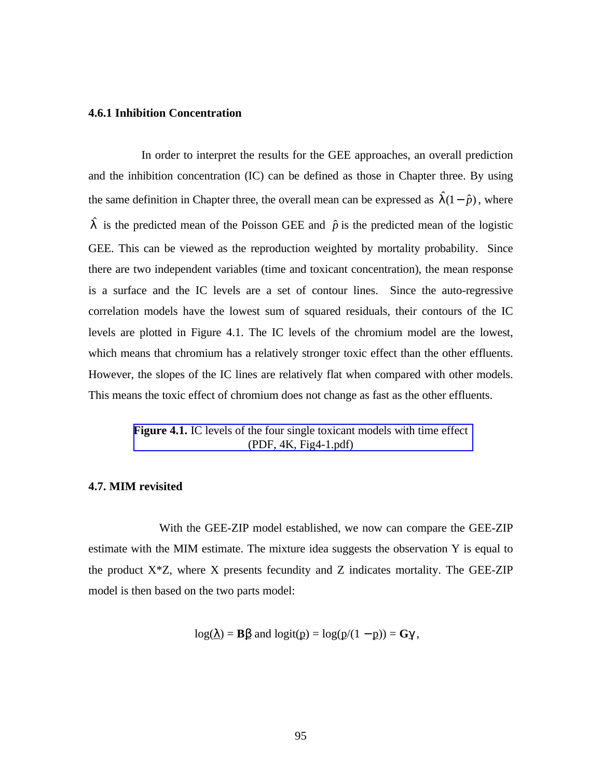## **4.6.1 Inhibition Concentration**

In order to interpret the results for the GEE approaches, an overall prediction and the inhibition concentration (IC) can be defined as those in Chapter three. By using the same definition in Chapter three, the overall mean can be expressed as  $\hat{\Gamma}(1-\hat{p})$ , where  $\hat{\mathsf{I}}$  is the predicted mean of the Poisson GEE and  $\hat{p}$  is the predicted mean of the logistic GEE. This can be viewed as the reproduction weighted by mortality probability. Since there are two independent variables (time and toxicant concentration), the mean response is a surface and the IC levels are a set of contour lines. Since the auto-regressive correlation models have the lowest sum of squared residuals, their contours of the IC levels are plotted in Figure 4.1. The IC levels of the chromium model are the lowest, which means that chromium has a relatively stronger toxic effect than the other effluents. However, the slopes of the IC lines are relatively flat when compared with other models. This means the toxic effect of chromium does not change as fast as the other effluents.

## **Figure 4.1.** IC levels of the four single toxicant models with time effect (PDF, 4K, Fig4-1.pdf)

#### **4.7. MIM revisited**

With the GEE-ZIP model established, we now can compare the GEE-ZIP estimate with the MIM estimate. The mixture idea suggests the observation Y is equal to the product  $X^*Z$ , where X presents fecundity and Z indicates mortality. The GEE-ZIP model is then based on the two parts model:

$$
log(\underline{\lambda}) = B\underline{\beta}
$$
 and  $logit(\underline{p}) = log(\underline{p}/(1-\underline{p})) = G\gamma$ ,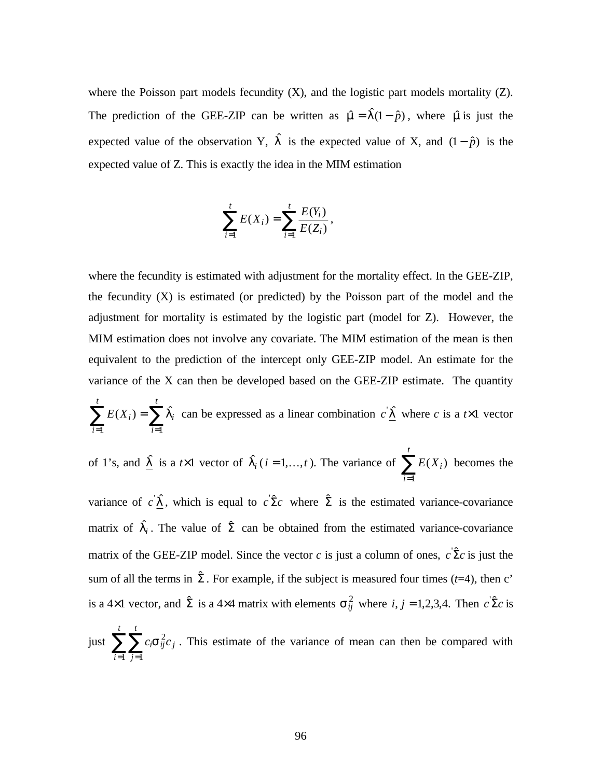where the Poisson part models fecundity  $(X)$ , and the logistic part models mortality  $(Z)$ . The prediction of the GEE-ZIP can be written as  $\hat{\tau} = \hat{\tau}(1 - \hat{p})$ , where  $\hat{\tau}$  is just the expected value of the observation Y,  $\hat{\Gamma}$  is the expected value of X, and  $(1-\hat{p})$  is the expected value of Z. This is exactly the idea in the MIM estimation

$$
\sum_{i=1}^{t} E(X_i) = \sum_{i=1}^{t} \frac{E(Y_i)}{E(Z_i)},
$$

where the fecundity is estimated with adjustment for the mortality effect. In the GEE-ZIP, the fecundity (X) is estimated (or predicted) by the Poisson part of the model and the adjustment for mortality is estimated by the logistic part (model for Z). However, the MIM estimation does not involve any covariate. The MIM estimation of the mean is then equivalent to the prediction of the intercept only GEE-ZIP model. An estimate for the variance of the X can then be developed based on the GEE-ZIP estimate. The quantity

$$
\sum_{i=1}^{t} E(X_i) = \sum_{i=1}^{t} \hat{\Gamma}_i
$$
 can be expressed as a linear combination  $c' \hat{\Gamma}$  where *c* is a *t*×1 vector

of 1's, and 
$$
\hat{L}
$$
 is a  $t \times 1$  vector of  $\hat{L}_i$  ( $i = 1,...,t$ ). The variance of  $\sum_{i=1}^t E(X_i)$  becomes the

variance of  $c'$   $\hat{I}$ , which is equal to  $c' \hat{\Sigma} c$  where  $\hat{\Sigma}$  is the estimated variance-covariance matrix of  $\hat{I}_i$ . The value of  $\hat{\Sigma}$  can be obtained from the estimated variance-covariance matrix of the GEE-ZIP model. Since the vector *c* is just a column of ones,  $c \hat{\Sigma} c$  is just the sum of all the terms in  $\hat{\Sigma}$ . For example, if the subject is measured four times ( $t=4$ ), then c' is a 4×1 vector, and  $\hat{\Sigma}$  is a 4×4 matrix with elements  $S_{ij}^2$  where *i*, *j* = 1,2,3,4. Then  $c \hat{\Sigma} c$  is

just  $\sum_{i=1}^{t} \sum_{j=1}^{t}$ *i j t j*  $c_i$ S $\frac{2}{ij}c$  $-1$   $j=1$  $S_{ii}^2 c_i$ . This estimate of the variance of mean can then be compared with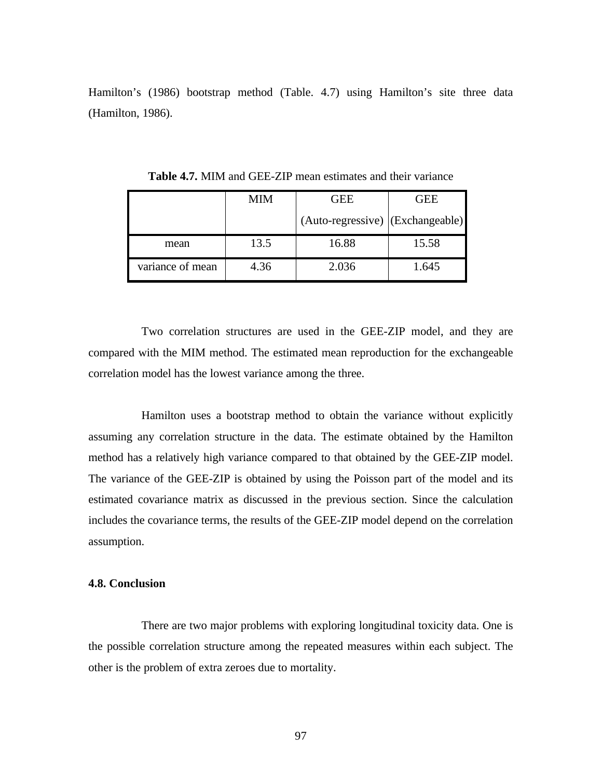Hamilton's (1986) bootstrap method (Table. 4.7) using Hamilton's site three data (Hamilton, 1986).

|                  | MIM  | GEE                              | GEE   |
|------------------|------|----------------------------------|-------|
|                  |      | (Auto-regressive) (Exchangeable) |       |
| mean             | 13.5 | 16.88                            | 15.58 |
| variance of mean | 4.36 | 2.036                            | 1.645 |

**Table 4.7.** MIM and GEE-ZIP mean estimates and their variance

Two correlation structures are used in the GEE-ZIP model, and they are compared with the MIM method. The estimated mean reproduction for the exchangeable correlation model has the lowest variance among the three.

Hamilton uses a bootstrap method to obtain the variance without explicitly assuming any correlation structure in the data. The estimate obtained by the Hamilton method has a relatively high variance compared to that obtained by the GEE-ZIP model. The variance of the GEE-ZIP is obtained by using the Poisson part of the model and its estimated covariance matrix as discussed in the previous section. Since the calculation includes the covariance terms, the results of the GEE-ZIP model depend on the correlation assumption.

## **4.8. Conclusion**

There are two major problems with exploring longitudinal toxicity data. One is the possible correlation structure among the repeated measures within each subject. The other is the problem of extra zeroes due to mortality.